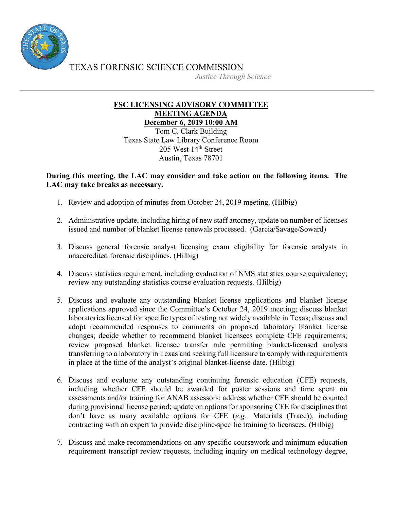

TEXAS FORENSIC SCIENCE COMMISSION

*Justice Through Science*

## **FSC LICENSING ADVISORY COMMITTEE MEETING AGENDA December 6, 2019 10:00 AM**

Tom C. Clark Building Texas State Law Library Conference Room 205 West 14<sup>th</sup> Street Austin, Texas 78701

## **During this meeting, the LAC may consider and take action on the following items. The LAC may take breaks as necessary.**

- 1. Review and adoption of minutes from October 24, 2019 meeting. (Hilbig)
- 2. Administrative update, including hiring of new staff attorney, update on number of licenses issued and number of blanket license renewals processed. (Garcia/Savage/Soward)
- 3. Discuss general forensic analyst licensing exam eligibility for forensic analysts in unaccredited forensic disciplines. (Hilbig)
- 4. Discuss statistics requirement, including evaluation of NMS statistics course equivalency; review any outstanding statistics course evaluation requests. (Hilbig)
- 5. Discuss and evaluate any outstanding blanket license applications and blanket license applications approved since the Committee's October 24, 2019 meeting; discuss blanket laboratories licensed for specific types of testing not widely available in Texas; discuss and adopt recommended responses to comments on proposed laboratory blanket license changes; decide whether to recommend blanket licensees complete CFE requirements; review proposed blanket licensee transfer rule permitting blanket-licensed analysts transferring to a laboratory in Texas and seeking full licensure to comply with requirements in place at the time of the analyst's original blanket-license date. (Hilbig)
- 6. Discuss and evaluate any outstanding continuing forensic education (CFE) requests, including whether CFE should be awarded for poster sessions and time spent on assessments and/or training for ANAB assessors; address whether CFE should be counted during provisional license period; update on options for sponsoring CFE for disciplines that don't have as many available options for CFE (*e.g.,* Materials (Trace)), including contracting with an expert to provide discipline-specific training to licensees. (Hilbig)
- 7. Discuss and make recommendations on any specific coursework and minimum education requirement transcript review requests, including inquiry on medical technology degree,